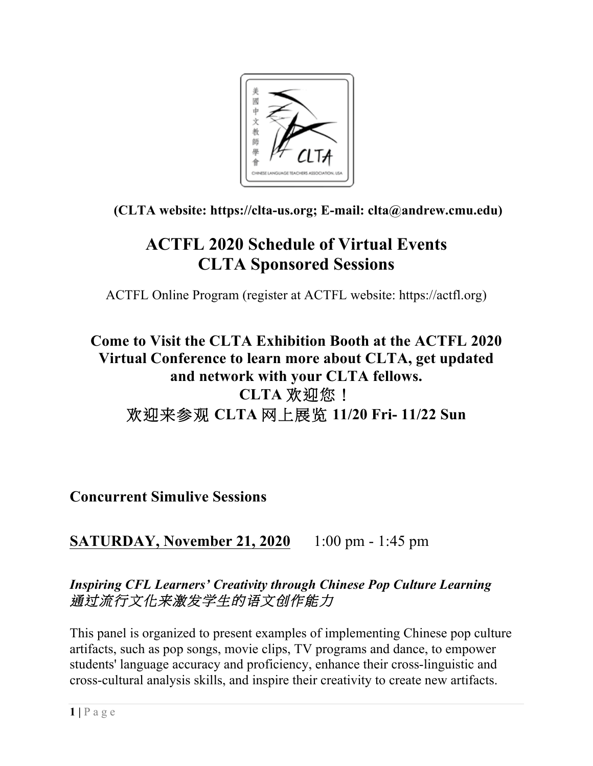

### **(CLTA website: https://clta-us.org; E-mail: clta@andrew.cmu.edu)**

# **ACTFL 2020 Schedule of Virtual Events CLTA Sponsored Sessions**

ACTFL Online Program (register at ACTFL website: https://actfl.org)

# **Come to Visit the CLTA Exhibition Booth at the ACTFL 2020 Virtual Conference to learn more about CLTA, get updated and network with your CLTA fellows. CLTA** 欢迎您! 欢迎来参观 **CLTA** 网上展览 **11/20 Fri- 11/22 Sun**

**Concurrent Simulive Sessions**

## **SATURDAY, November 21, 2020** 1:00 pm - 1:45 pm

### *Inspiring CFL Learners' Creativity through Chinese Pop Culture Learning* 通过流行文化来激发学生的语文创作能力

This panel is organized to present examples of implementing Chinese pop culture artifacts, such as pop songs, movie clips, TV programs and dance, to empower students' language accuracy and proficiency, enhance their cross-linguistic and cross-cultural analysis skills, and inspire their creativity to create new artifacts.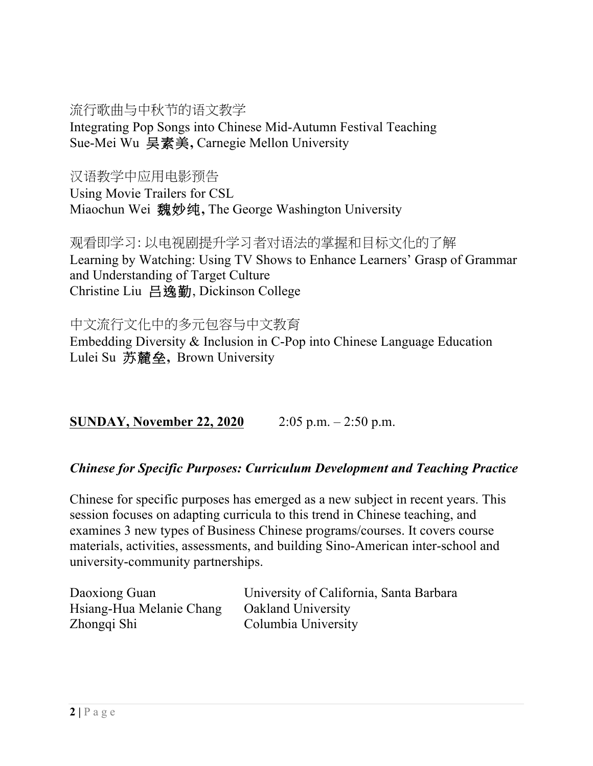### 流行歌曲与中秋节的语文教学

Integrating Pop Songs into Chinese Mid-Autumn Festival Teaching Sue-Mei Wu 吴素美**,** Carnegie Mellon University

汉语教学中应用电影预告

Using Movie Trailers for CSL Miaochun Wei 魏妙纯**,** The George Washington University

观看即学习: 以电视剧提升学习者对语法的掌握和目标文化的了解 Learning by Watching: Using TV Shows to Enhance Learners' Grasp of Grammar and Understanding of Target Culture Christine Liu 吕逸勤, Dickinson College

中文流行文化中的多元包容与中文教育 Embedding Diversity & Inclusion in C-Pop into Chinese Language Education Lulei Su 苏麓垒**,** Brown University

**SUNDAY, November 22, 2020** 2:05 p.m. – 2:50 p.m.

### *Chinese for Specific Purposes: Curriculum Development and Teaching Practice*

Chinese for specific purposes has emerged as a new subject in recent years. This session focuses on adapting curricula to this trend in Chinese teaching, and examines 3 new types of Business Chinese programs/courses. It covers course materials, activities, assessments, and building Sino-American inter-school and university-community partnerships.

| Daoxiong Guan            | University of California, Santa Barbara |
|--------------------------|-----------------------------------------|
| Hsiang-Hua Melanie Chang | <b>Oakland University</b>               |
| Zhongqi Shi              | Columbia University                     |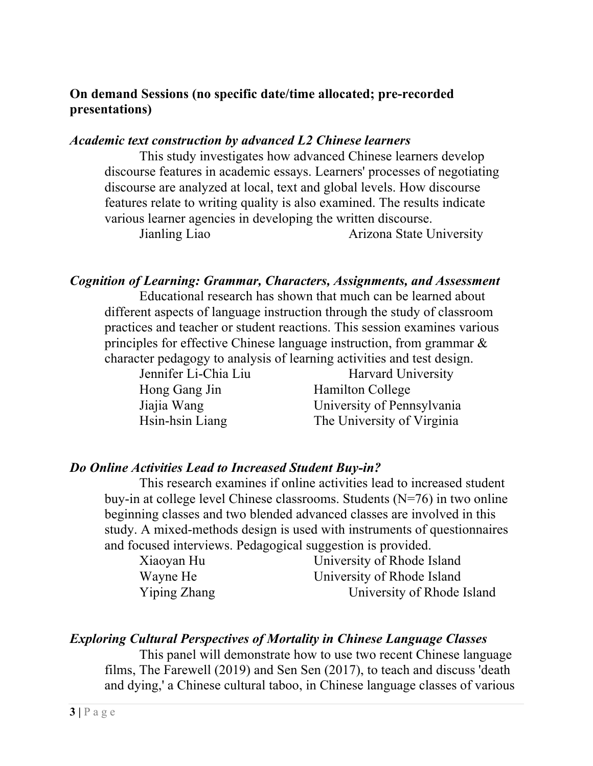### **On demand Sessions (no specific date/time allocated; pre-recorded presentations)**

#### *Academic text construction by advanced L2 Chinese learners*

This study investigates how advanced Chinese learners develop discourse features in academic essays. Learners' processes of negotiating discourse are analyzed at local, text and global levels. How discourse features relate to writing quality is also examined. The results indicate various learner agencies in developing the written discourse.

Jianling Liao Arizona State University

#### *Cognition of Learning: Grammar, Characters, Assignments, and Assessment*

Educational research has shown that much can be learned about different aspects of language instruction through the study of classroom practices and teacher or student reactions. This session examines various principles for effective Chinese language instruction, from grammar & character pedagogy to analysis of learning activities and test design.

Jennifer Li-Chia Liu Harvard University Hong Gang Jin Hamilton College Jiajia Wang University of Pennsylvania Hsin-hsin Liang The University of Virginia

#### *Do Online Activities Lead to Increased Student Buy-in?*

This research examines if online activities lead to increased student buy-in at college level Chinese classrooms. Students (N=76) in two online beginning classes and two blended advanced classes are involved in this study. A mixed-methods design is used with instruments of questionnaires and focused interviews. Pedagogical suggestion is provided.

| Xiaoyan Hu   | University of Rhode Island |
|--------------|----------------------------|
| Wayne He     | University of Rhode Island |
| Yiping Zhang | University of Rhode Island |

#### *Exploring Cultural Perspectives of Mortality in Chinese Language Classes*

This panel will demonstrate how to use two recent Chinese language films, The Farewell (2019) and Sen Sen (2017), to teach and discuss 'death and dying,' a Chinese cultural taboo, in Chinese language classes of various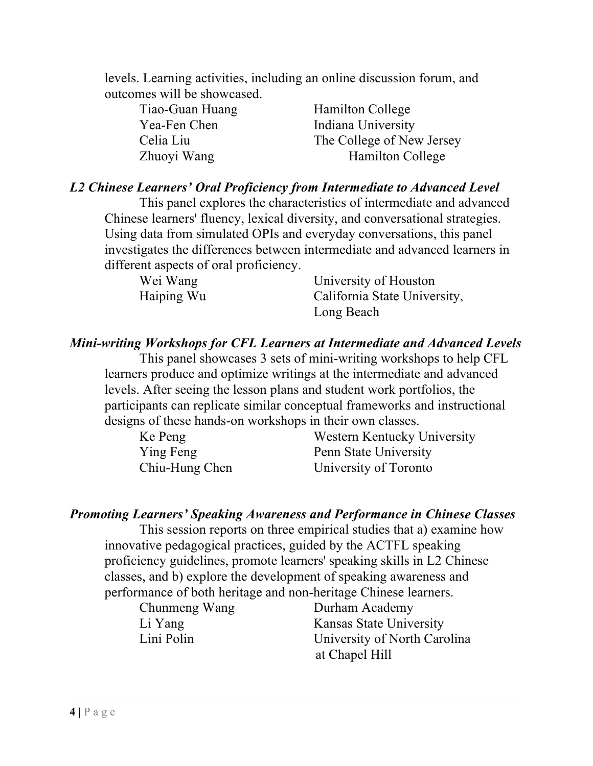levels. Learning activities, including an online discussion forum, and outcomes will be showcased.

| Tiao-Guan Huang | <b>Hamilton College</b>   |
|-----------------|---------------------------|
| Yea-Fen Chen    | Indiana University        |
| Celia Liu       | The College of New Jersey |
| Zhuoyi Wang     | <b>Hamilton College</b>   |

#### *L2 Chinese Learners' Oral Proficiency from Intermediate to Advanced Level*

This panel explores the characteristics of intermediate and advanced Chinese learners' fluency, lexical diversity, and conversational strategies. Using data from simulated OPIs and everyday conversations, this panel investigates the differences between intermediate and advanced learners in different aspects of oral proficiency.

| Wei Wang   | University of Houston        |
|------------|------------------------------|
| Haiping Wu | California State University, |
|            | Long Beach                   |

#### *Mini-writing Workshops for CFL Learners at Intermediate and Advanced Levels*

This panel showcases 3 sets of mini-writing workshops to help CFL learners produce and optimize writings at the intermediate and advanced levels. After seeing the lesson plans and student work portfolios, the participants can replicate similar conceptual frameworks and instructional designs of these hands-on workshops in their own classes.

| Ke Peng        | Western Kentucky University |
|----------------|-----------------------------|
| Ying Feng      | Penn State University       |
| Chiu-Hung Chen | University of Toronto       |

#### *Promoting Learners' Speaking Awareness and Performance in Chinese Classes*

This session reports on three empirical studies that a) examine how innovative pedagogical practices, guided by the ACTFL speaking proficiency guidelines, promote learners' speaking skills in L2 Chinese classes, and b) explore the development of speaking awareness and performance of both heritage and non-heritage Chinese learners.

Chunmeng Wang Durham Academy Li Yang Kansas State University Lini Polin University of North Carolina at Chapel Hill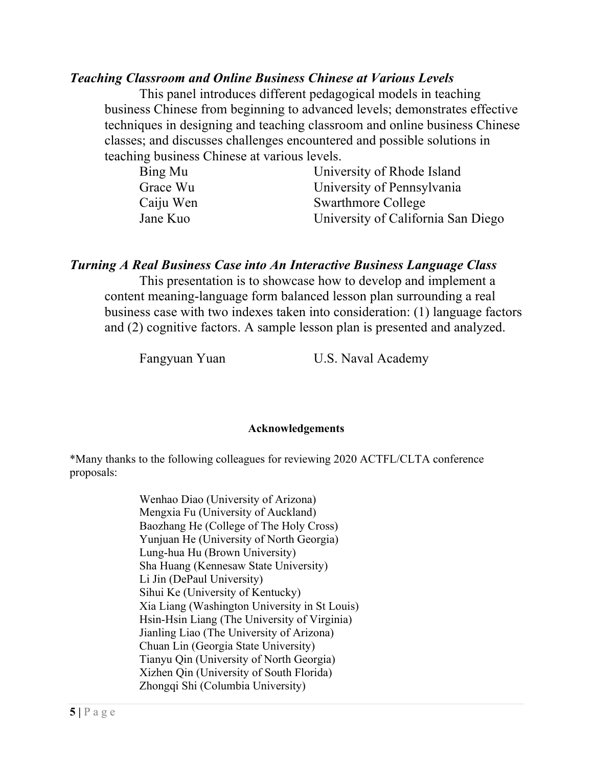#### *Teaching Classroom and Online Business Chinese at Various Levels*

This panel introduces different pedagogical models in teaching business Chinese from beginning to advanced levels; demonstrates effective techniques in designing and teaching classroom and online business Chinese classes; and discusses challenges encountered and possible solutions in teaching business Chinese at various levels.

| Bing Mu   | University of Rhode Island         |
|-----------|------------------------------------|
| Grace Wu  | University of Pennsylvania         |
| Caiju Wen | <b>Swarthmore College</b>          |
| Jane Kuo  | University of California San Diego |

#### *Turning A Real Business Case into An Interactive Business Language Class*

This presentation is to showcase how to develop and implement a content meaning-language form balanced lesson plan surrounding a real business case with two indexes taken into consideration: (1) language factors and (2) cognitive factors. A sample lesson plan is presented and analyzed.

Fangyuan Yuan U.S. Naval Academy

#### **Acknowledgements**

\*Many thanks to the following colleagues for reviewing 2020 ACTFL/CLTA conference proposals:

> Wenhao Diao (University of Arizona) Mengxia Fu (University of Auckland) Baozhang He (College of The Holy Cross) Yunjuan He (University of North Georgia) Lung-hua Hu (Brown University) Sha Huang (Kennesaw State University) Li Jin (DePaul University) Sihui Ke (University of Kentucky) Xia Liang (Washington University in St Louis) Hsin-Hsin Liang (The University of Virginia) Jianling Liao (The University of Arizona) Chuan Lin (Georgia State University) Tianyu Qin (University of North Georgia) Xizhen Qin (University of South Florida) Zhongqi Shi (Columbia University)